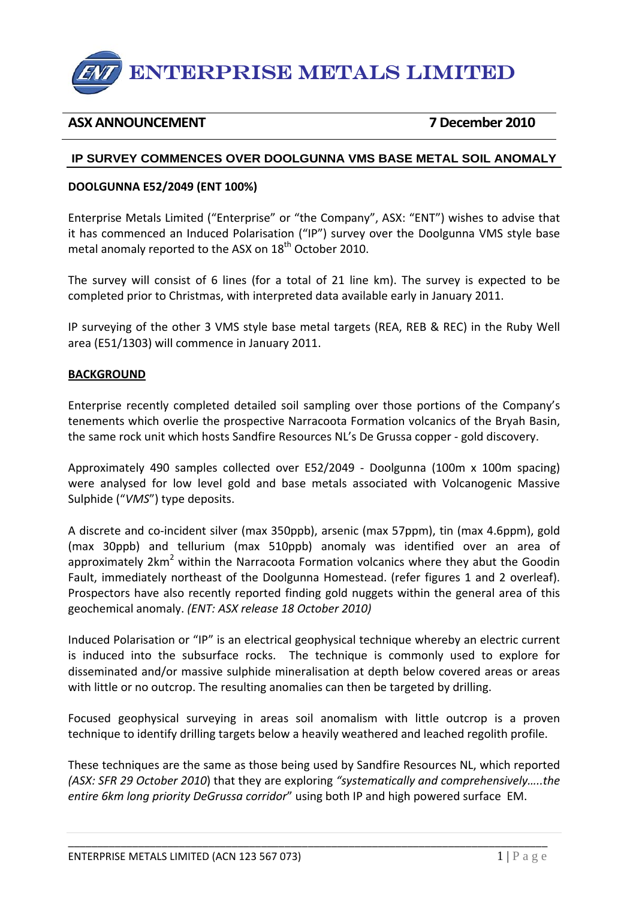

# **ASX ANNOUNCEMENT 7 December 2010**

## **IP SURVEY COMMENCES OVER DOOLGUNNA VMS BASE METAL SOIL ANOMALY**

### **DOOLGUNNA E52/2049 (ENT 100%)**

Enterprise Metals Limited ("Enterprise" or "the Company", ASX: "ENT") wishes to advise that it has commenced an Induced Polarisation ("IP") survey over the Doolgunna VMS style base metal anomaly reported to the ASX on 18<sup>th</sup> October 2010.

The survey will consist of 6 lines (for a total of 21 line km). The survey is expected to be completed prior to Christmas, with interpreted data available early in January 2011.

IP surveying of the other 3 VMS style base metal targets (REA, REB & REC) in the Ruby Well area (E51/1303) will commence in January 2011.

#### **BACKGROUND**

Enterprise recently completed detailed soil sampling over those portions of the Company's tenements which overlie the prospective Narracoota Formation volcanics of the Bryah Basin, the same rock unit which hosts Sandfire Resources NL's De Grussa copper ‐ gold discovery.

Approximately 490 samples collected over E52/2049 ‐ Doolgunna (100m x 100m spacing) were analysed for low level gold and base metals associated with Volcanogenic Massive Sulphide ("*VMS*") type deposits.

A discrete and co‐incident silver (max 350ppb), arsenic (max 57ppm), tin (max 4.6ppm), gold (max 30ppb) and tellurium (max 510ppb) anomaly was identified over an area of approximately  $2km^2$  within the Narracoota Formation volcanics where they abut the Goodin Fault, immediately northeast of the Doolgunna Homestead. (refer figures 1 and 2 overleaf). Prospectors have also recently reported finding gold nuggets within the general area of this geochemical anomaly. *(ENT: ASX release 18 October 2010)*

Induced Polarisation or "IP" is an electrical geophysical technique whereby an electric current is induced into the subsurface rocks. The technique is commonly used to explore for disseminated and/or massive sulphide mineralisation at depth below covered areas or areas with little or no outcrop. The resulting anomalies can then be targeted by drilling.

Focused geophysical surveying in areas soil anomalism with little outcrop is a proven technique to identify drilling targets below a heavily weathered and leached regolith profile.

These techniques are the same as those being used by Sandfire Resources NL, which reported *(ASX: SFR 29 October 2010*) that they are exploring *"systematically and comprehensively…..the entire 6km long priority DeGrussa corridor*" using both IP and high powered surface EM.

\_\_\_\_\_\_\_\_\_\_\_\_\_\_\_\_\_\_\_\_\_\_\_\_\_\_\_\_\_\_\_\_\_\_\_\_\_\_\_\_\_\_\_\_\_\_\_\_\_\_\_\_\_\_\_\_\_\_\_\_\_\_\_\_\_\_\_\_\_\_\_\_\_\_\_\_\_\_\_\_\_\_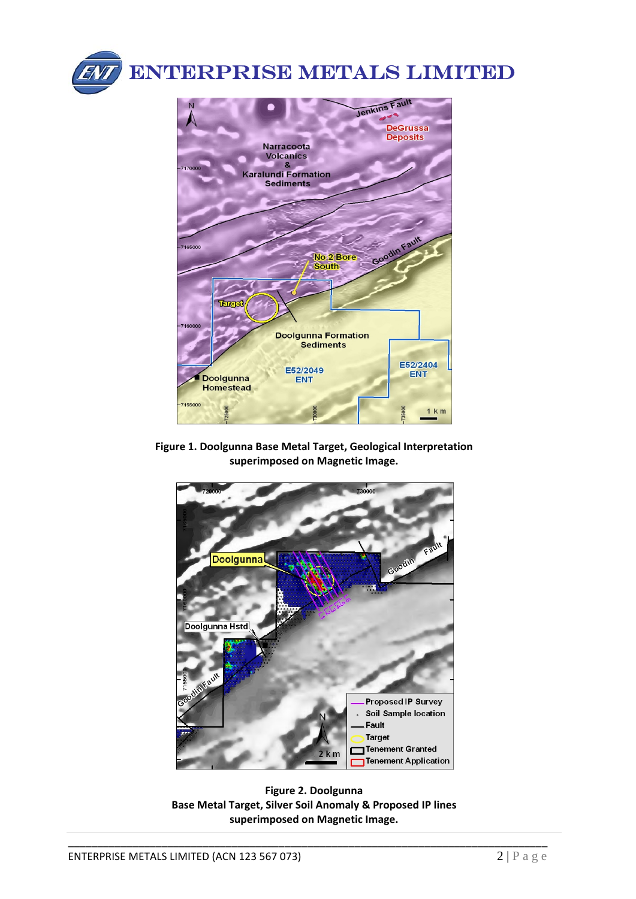

ENTERPRISE METALS LIMITED



**Figure 1. Doolgunna Base Metal Target, Geological Interpretation superimposed on Magnetic Image.**



**Figure 2. Doolgunna Base Metal Target, Silver Soil Anomaly & Proposed IP lines superimposed on Magnetic Image.**

\_\_\_\_\_\_\_\_\_\_\_\_\_\_\_\_\_\_\_\_\_\_\_\_\_\_\_\_\_\_\_\_\_\_\_\_\_\_\_\_\_\_\_\_\_\_\_\_\_\_\_\_\_\_\_\_\_\_\_\_\_\_\_\_\_\_\_\_\_\_\_\_\_\_\_\_\_\_\_\_\_\_